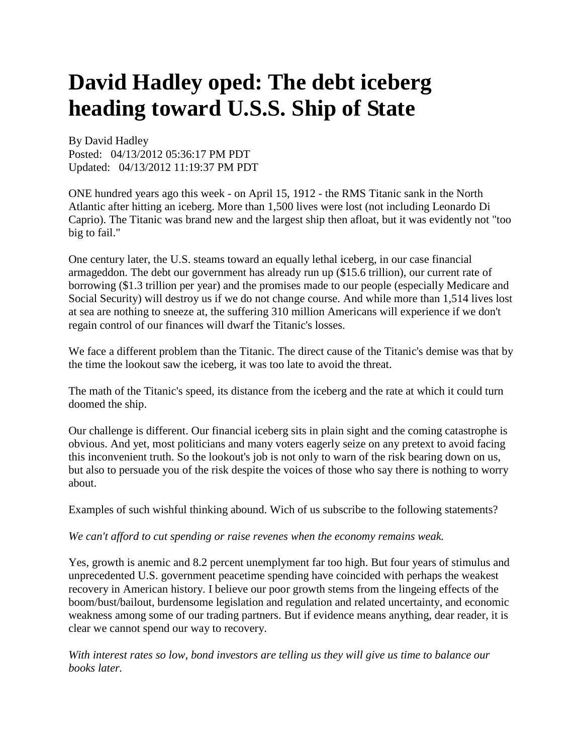## **David Hadley oped: The debt iceberg heading toward U.S.S. Ship of State**

By David Hadley Posted: 04/13/2012 05:36:17 PM PDT Updated: 04/13/2012 11:19:37 PM PDT

ONE hundred years ago this week - on April 15, 1912 - the RMS Titanic sank in the North Atlantic after hitting an iceberg. More than 1,500 lives were lost (not including Leonardo Di Caprio). The Titanic was brand new and the largest ship then afloat, but it was evidently not "too big to fail."

One century later, the U.S. steams toward an equally lethal iceberg, in our case financial armageddon. The debt our government has already run up (\$15.6 trillion), our current rate of borrowing (\$1.3 trillion per year) and the promises made to our people (especially Medicare and Social Security) will destroy us if we do not change course. And while more than 1,514 lives lost at sea are nothing to sneeze at, the suffering 310 million Americans will experience if we don't regain control of our finances will dwarf the Titanic's losses.

We face a different problem than the Titanic. The direct cause of the Titanic's demise was that by the time the lookout saw the iceberg, it was too late to avoid the threat.

The math of the Titanic's speed, its distance from the iceberg and the rate at which it could turn doomed the ship.

Our challenge is different. Our financial iceberg sits in plain sight and the coming catastrophe is obvious. And yet, most politicians and many voters eagerly seize on any pretext to avoid facing this inconvenient truth. So the lookout's job is not only to warn of the risk bearing down on us, but also to persuade you of the risk despite the voices of those who say there is nothing to worry about.

Examples of such wishful thinking abound. Wich of us subscribe to the following statements?

*We can't afford to cut spending or raise revenes when the economy remains weak.* 

Yes, growth is anemic and 8.2 percent unemplyment far too high. But four years of stimulus and unprecedented U.S. government peacetime spending have coincided with perhaps the weakest recovery in American history. I believe our poor growth stems from the lingeing effects of the boom/bust/bailout, burdensome legislation and regulation and related uncertainty, and economic weakness among some of our trading partners. But if evidence means anything, dear reader, it is clear we cannot spend our way to recovery.

*With interest rates so low, bond investors are telling us they will give us time to balance our books later.*